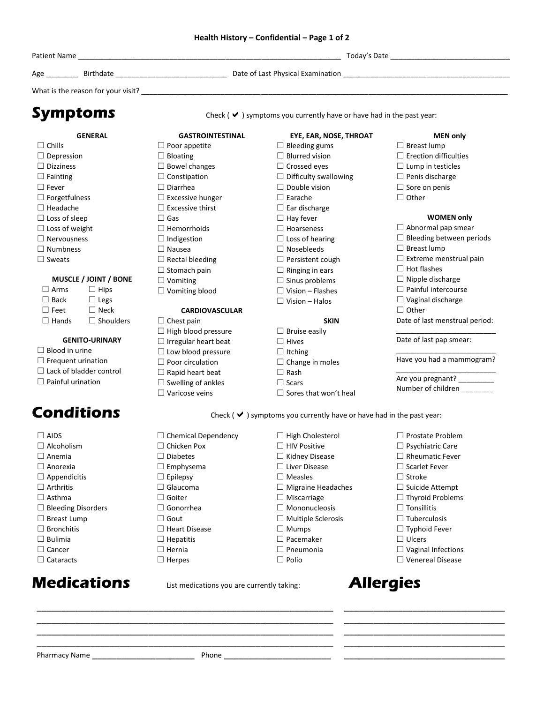### **Health History – Confidential – Page 1 of 2**

| Symptoms                       |                  |                             | Check ( $\blacktriangleright$ ) symptoms you currently have or have had in the past year: |                                 |  |
|--------------------------------|------------------|-----------------------------|-------------------------------------------------------------------------------------------|---------------------------------|--|
|                                | <b>GENERAL</b>   | <b>GASTROINTESTINAL</b>     | EYE, EAR, NOSE, THROAT                                                                    | <b>MEN only</b>                 |  |
| $\Box$ Chills                  |                  | $\Box$ Poor appetite        | $\Box$ Bleeding gums                                                                      | $\Box$ Breast lump              |  |
| $\Box$ Depression              |                  | $\Box$ Bloating             | $\Box$ Blurred vision                                                                     | $\Box$ Erection difficulties    |  |
| $\Box$ Dizziness               |                  | $\Box$ Bowel changes        | $\Box$ Crossed eyes                                                                       | $\Box$ Lump in testicles        |  |
| $\Box$ Fainting                |                  | $\Box$ Constipation         | $\Box$ Difficulty swallowing                                                              | $\Box$ Penis discharge          |  |
| $\Box$ Fever                   |                  | $\Box$ Diarrhea             | $\Box$ Double vision                                                                      | $\Box$ Sore on penis            |  |
| $\Box$ Forgetfulness           |                  | $\Box$ Excessive hunger     | $\Box$ Earache                                                                            | $\Box$ Other                    |  |
| $\Box$ Headache                |                  | $\Box$ Excessive thirst     | $\Box$ Ear discharge                                                                      |                                 |  |
| $\Box$ Loss of sleep           |                  | $\square$ Gas               | $\Box$ Hay fever                                                                          | <b>WOMEN only</b>               |  |
| $\Box$ Loss of weight          |                  | $\Box$ Hemorrhoids          | $\Box$ Hoarseness                                                                         | $\Box$ Abnormal pap smear       |  |
| $\Box$ Nervousness             |                  | $\Box$ Indigestion          | $\Box$ Loss of hearing                                                                    | $\Box$ Bleeding between periods |  |
| $\Box$ Numbness                |                  | $\Box$ Nausea               | $\Box$ Nosebleeds                                                                         | $\Box$ Breast lump              |  |
| $\square$ Sweats               |                  | $\Box$ Rectal bleeding      | $\Box$ Persistent cough                                                                   | $\Box$ Extreme menstrual pain   |  |
|                                |                  | $\Box$ Stomach pain         | $\Box$ Ringing in ears                                                                    | $\Box$ Hot flashes              |  |
| MUSCLE / JOINT / BONE          |                  | $\Box$ Vomiting             | $\Box$ Sinus problems                                                                     | $\Box$ Nipple discharge         |  |
| $\Box$ Arms                    | $\Box$ Hips      | $\Box$ Vomiting blood       | $\Box$ Vision – Flashes                                                                   | $\Box$ Painful intercourse      |  |
| $\Box$ Back                    | $\Box$ Legs      |                             | $\Box$ Vision – Halos                                                                     | $\Box$ Vaginal discharge        |  |
| $\Box$ Feet                    | $\Box$ Neck      | <b>CARDIOVASCULAR</b>       |                                                                                           | $\Box$ Other                    |  |
| $\Box$ Hands                   | $\Box$ Shoulders | $\Box$ Chest pain           | <b>SKIN</b>                                                                               | Date of last menstrual period:  |  |
|                                |                  | $\Box$ High blood pressure  | $\Box$ Bruise easily                                                                      |                                 |  |
| <b>GENITO-URINARY</b>          |                  | $\Box$ Irregular heart beat | $\Box$ Hives                                                                              | Date of last pap smear:         |  |
| $\Box$ Blood in urine          |                  | $\Box$ Low blood pressure   | $\Box$ Itching                                                                            |                                 |  |
| $\Box$ Frequent urination      |                  | $\Box$ Poor circulation     | $\Box$ Change in moles                                                                    | Have you had a mammogram?       |  |
| $\Box$ Lack of bladder control |                  | $\Box$ Rapid heart beat     | $\Box$ Rash                                                                               |                                 |  |
| $\Box$ Painful urination       |                  | $\Box$ Swelling of ankles   | $\Box$ Scars                                                                              | Are you pregnant? _________     |  |
|                                |                  | $\Box$ Varicose veins       | $\Box$ Sores that won't heal                                                              | Number of children ________     |  |

Conditions Conditions Check ( $\vee$ ) symptoms you currently have or have had in the past year:

| $\Box$ Chemical Dependency | $\Box$ High Cholesterol   | $\Box$ Prostate Problem   |
|----------------------------|---------------------------|---------------------------|
| $\Box$ Chicken Pox         | $\Box$ HIV Positive       | $\Box$ Psychiatric Care   |
| $\Box$ Diabetes            | $\Box$ Kidney Disease     | $\Box$ Rheumatic Fever    |
| $\Box$ Emphysema           | $\Box$ Liver Disease      | $\Box$ Scarlet Fever      |
| $\Box$ Epilepsy            | $\Box$ Measles            | $\Box$ Stroke             |
| $\Box$ Glaucoma            | $\Box$ Migraine Headaches | $\Box$ Suicide Attempt    |
| $\Box$ Goiter              | $\Box$ Miscarriage        | $\Box$ Thyroid Problems   |
| $\Box$ Gonorrhea           | $\Box$ Mononucleosis      | $\Box$ Tonsillitis        |
| Gout<br>$\mathsf{L}$       | $\Box$ Multiple Sclerosis | $\Box$ Tuberculosis       |
| $\Box$ Heart Disease       | $\Box$ Mumps              | $\Box$ Typhoid Fever      |
| $\Box$ Hepatitis           | $\Box$ Pacemaker          | $\Box$ Ulcers             |
| $\Box$ Hernia              | $\Box$ Pneumonia          | $\Box$ Vaginal Infections |
|                            |                           |                           |

☐ Polio

☐ Venereal Disease

\_\_\_\_\_\_\_\_\_\_\_\_\_\_\_\_\_\_\_\_\_\_\_\_\_\_\_\_\_\_\_\_\_ \_\_\_\_\_\_\_\_\_\_\_\_\_\_\_\_\_\_\_\_\_\_\_\_\_\_\_\_\_\_\_\_\_ \_\_\_\_\_\_\_\_\_\_\_\_\_\_\_\_\_\_\_\_\_\_\_\_\_\_\_\_\_\_\_\_\_ \_\_\_\_\_\_\_\_\_\_\_\_\_\_\_\_\_\_\_\_\_\_\_\_\_\_\_\_\_\_\_\_\_ \_\_\_\_\_\_\_\_\_\_\_\_\_\_\_\_\_\_\_\_\_\_\_\_\_\_\_\_\_\_\_\_\_

\_\_\_\_\_\_\_\_\_\_\_\_\_\_\_\_\_\_\_\_\_\_\_\_\_\_\_\_\_\_\_\_\_\_\_\_\_\_\_\_\_\_\_\_\_\_\_\_\_\_\_\_\_\_\_\_\_\_\_\_\_

☐ Bleeding Disorders ☐ Breast Lump ☐ Bronchitis  $\Box$  Bulimia □ Cancer □ Cataracts

☐ Herpes

\_\_\_\_\_\_\_\_\_\_\_\_\_\_\_\_\_\_\_\_\_\_\_\_\_\_\_\_\_\_\_\_\_\_\_\_\_\_\_\_\_\_\_\_\_\_\_\_\_\_\_\_\_\_\_\_\_\_\_\_\_ \_\_\_\_\_\_\_\_\_\_\_\_\_\_\_\_\_\_\_\_\_\_\_\_\_\_\_\_\_\_\_\_\_\_\_\_\_\_\_\_\_\_\_\_\_\_\_\_\_\_\_\_\_\_\_\_\_\_\_\_\_ \_\_\_\_\_\_\_\_\_\_\_\_\_\_\_\_\_\_\_\_\_\_\_\_\_\_\_\_\_\_\_\_\_\_\_\_\_\_\_\_\_\_\_\_\_\_\_\_\_\_\_\_\_\_\_\_\_\_\_\_\_

# **Medications** List medications you are currently taking: **Allergies**

Pharmacy Name \_\_\_\_\_\_\_\_\_\_\_\_\_\_\_\_\_\_\_\_\_ Phone \_\_\_\_\_\_\_\_\_\_\_\_\_\_\_\_\_\_\_\_\_\_

 $\square$  AIDS □ Alcoholism □ Anemia ☐ Anorexia ☐ Appendicitis ☐ Arthritis  $\square$  Asthma